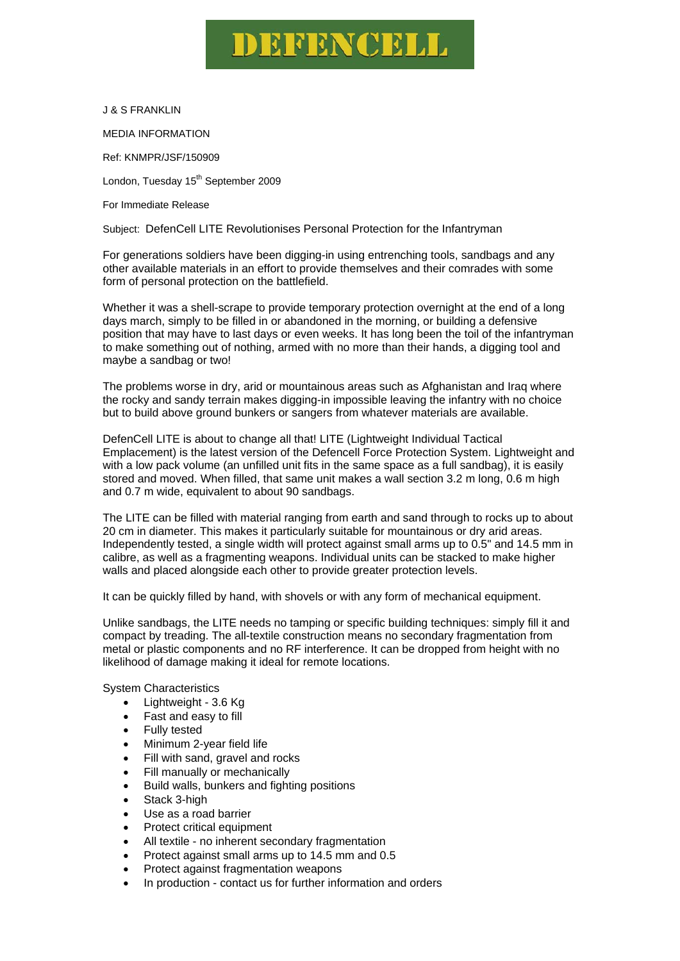## DEFENCELL

J & S FRANKLIN

MEDIA INFORMATION

Ref: KNMPR/JSF/150909

London, Tuesday 15<sup>th</sup> September 2009

For Immediate Release

Subject: DefenCell LITE Revolutionises Personal Protection for the Infantryman

For generations soldiers have been digging-in using entrenching tools, sandbags and any other available materials in an effort to provide themselves and their comrades with some form of personal protection on the battlefield.

Whether it was a shell-scrape to provide temporary protection overnight at the end of a long days march, simply to be filled in or abandoned in the morning, or building a defensive position that may have to last days or even weeks. It has long been the toil of the infantryman to make something out of nothing, armed with no more than their hands, a digging tool and maybe a sandbag or two!

The problems worse in dry, arid or mountainous areas such as Afghanistan and Iraq where the rocky and sandy terrain makes digging-in impossible leaving the infantry with no choice but to build above ground bunkers or sangers from whatever materials are available.

DefenCell LITE is about to change all that! LITE (Lightweight Individual Tactical Emplacement) is the latest version of the Defencell Force Protection System. Lightweight and with a low pack volume (an unfilled unit fits in the same space as a full sandbag), it is easily stored and moved. When filled, that same unit makes a wall section 3.2 m long, 0.6 m high and 0.7 m wide, equivalent to about 90 sandbags.

The LITE can be filled with material ranging from earth and sand through to rocks up to about 20 cm in diameter. This makes it particularly suitable for mountainous or dry arid areas. Independently tested, a single width will protect against small arms up to 0.5" and 14.5 mm in calibre, as well as a fragmenting weapons. Individual units can be stacked to make higher walls and placed alongside each other to provide greater protection levels.

It can be quickly filled by hand, with shovels or with any form of mechanical equipment.

Unlike sandbags, the LITE needs no tamping or specific building techniques: simply fill it and compact by treading. The all-textile construction means no secondary fragmentation from metal or plastic components and no RF interference. It can be dropped from height with no likelihood of damage making it ideal for remote locations.

System Characteristics

- Lightweight 3.6 Kg
- Fast and easy to fill
- Fully tested
- Minimum 2-year field life
- Fill with sand, gravel and rocks
- Fill manually or mechanically
- Build walls, bunkers and fighting positions
- Stack 3-high
- Use as a road barrier
- Protect critical equipment
- All textile no inherent secondary fragmentation
- Protect against small arms up to 14.5 mm and 0.5
- Protect against fragmentation weapons
- In production contact us for further information and orders